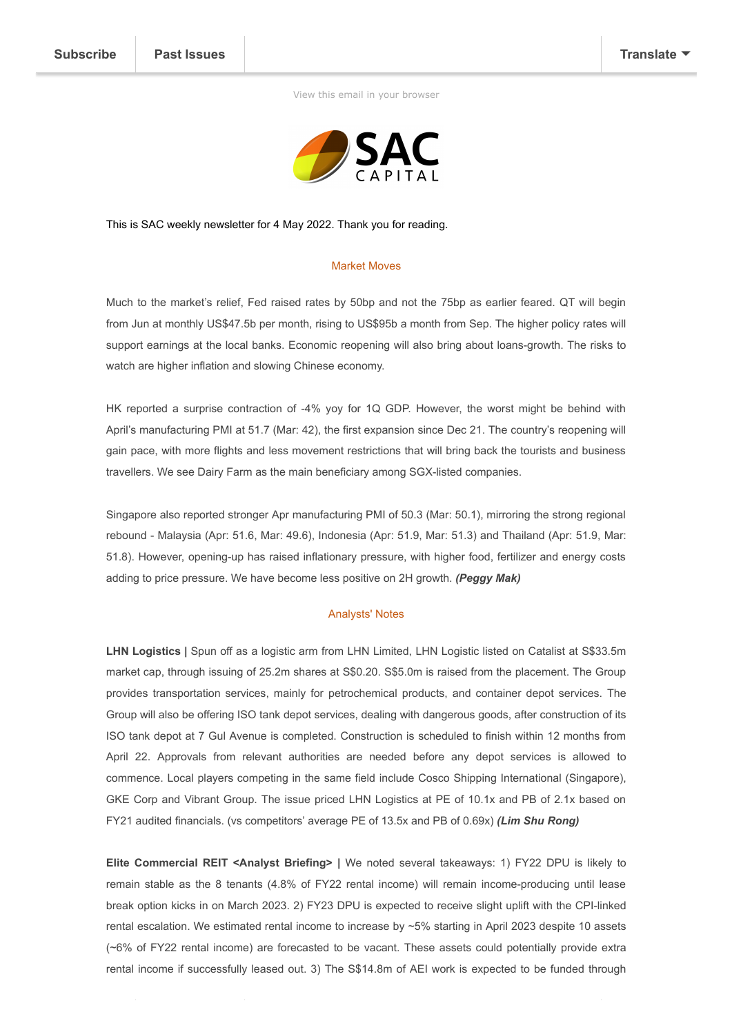[View this email in your browser](https://mailchi.mp/2838283944cc/sg-weekly-3-june-2021-9-june-20163476?e=[UNIQID])



This is SAC weekly newsletter for 4 May 2022. Thank you for reading.

## Market Moves

Much to the market's relief, Fed raised rates by 50bp and not the 75bp as earlier feared. QT will begin from Jun at monthly US\$47.5b per month, rising to US\$95b a month from Sep. The higher policy rates will support earnings at the local banks. Economic reopening will also bring about loans-growth. The risks to watch are higher inflation and slowing Chinese economy.

HK reported a surprise contraction of -4% yoy for 1Q GDP. However, the worst might be behind with April's manufacturing PMI at 51.7 (Mar: 42), the first expansion since Dec 21. The country's reopening will gain pace, with more flights and less movement restrictions that will bring back the tourists and business travellers. We see Dairy Farm as the main beneficiary among SGX-listed companies.

Singapore also reported stronger Apr manufacturing PMI of 50.3 (Mar: 50.1), mirroring the strong regional rebound - Malaysia (Apr: 51.6, Mar: 49.6), Indonesia (Apr: 51.9, Mar: 51.3) and Thailand (Apr: 51.9, Mar: 51.8). However, opening-up has raised inflationary pressure, with higher food, fertilizer and energy costs adding to price pressure. We have become less positive on 2H growth. *(Peggy Mak)*

## Analysts' Notes

LHN Logistics | Spun off as a logistic arm from LHN Limited, LHN Logistic listed on Catalist at S\$33.5m market cap, through issuing of 25.2m shares at S\$0.20. S\$5.0m is raised from the placement. The Group provides transportation services, mainly for petrochemical products, and container depot services. The Group will also be offering ISO tank depot services, dealing with dangerous goods, after construction of its ISO tank depot at 7 Gul Avenue is completed. Construction is scheduled to finish within 12 months from April 22. Approvals from relevant authorities are needed before any depot services is allowed to commence. Local players competing in the same field include Cosco Shipping International (Singapore), GKE Corp and Vibrant Group. The issue priced LHN Logistics at PE of 10.1x and PB of 2.1x based on FY21 audited financials. (vs competitors' average PE of 13.5x and PB of 0.69x) *(Lim Shu Rong)*

**Elite Commercial REIT <Analyst Briefing> |** We noted several takeaways: 1) FY22 DPU is likely to remain stable as the 8 tenants (4.8% of FY22 rental income) will remain income-producing until lease break option kicks in on March 2023. 2) FY23 DPU is expected to receive slight uplift with the CPI-linked rental escalation. We estimated rental income to increase by ~5% starting in April 2023 despite 10 assets (~6% of FY22 rental income) are forecasted to be vacant. These assets could potentially provide extra rental income if successfully leased out. 3) The S\$14.8m of AEI work is expected to be funded through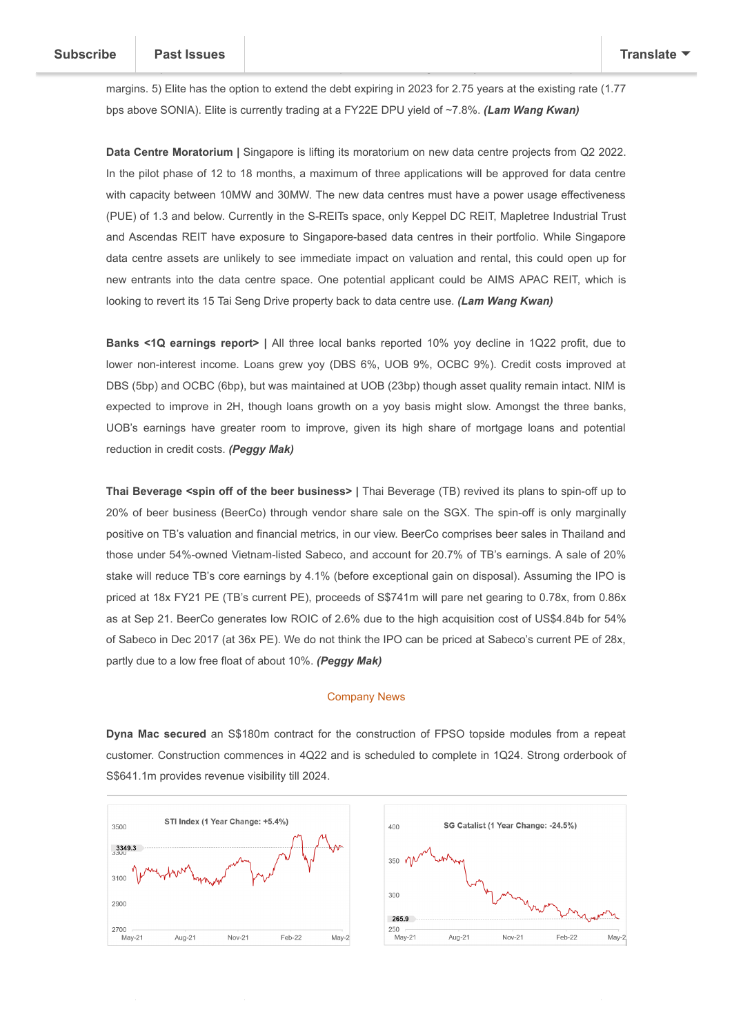margins. 5) Elite has the option to extend the debt expiring in 2023 for 2.75 years at the existing rate (1.77 bps above SONIA). Elite is currently trading at a FY22E DPU yield of ~7.8%. *(Lam Wang Kwan)*

affected. 4) 100% of Elite's assets are on triple net basis. Higher utility costs will not impact Elite's

**Data Centre Moratorium |** Singapore is lifting its moratorium on new data centre projects from Q2 2022. In the pilot phase of 12 to 18 months, a maximum of three applications will be approved for data centre with capacity between 10MW and 30MW. The new data centres must have a power usage effectiveness (PUE) of 1.3 and below. Currently in the S-REITs space, only Keppel DC REIT, Mapletree Industrial Trust and Ascendas REIT have exposure to Singapore-based data centres in their portfolio. While Singapore data centre assets are unlikely to see immediate impact on valuation and rental, this could open up for new entrants into the data centre space. One potential applicant could be AIMS APAC REIT, which is looking to revert its 15 Tai Seng Drive property back to data centre use. *(Lam Wang Kwan)*

**Banks <1Q earnings report> |** All three local banks reported 10% yoy decline in 1Q22 profit, due to lower non-interest income. Loans grew yoy (DBS 6%, UOB 9%, OCBC 9%). Credit costs improved at DBS (5bp) and OCBC (6bp), but was maintained at UOB (23bp) though asset quality remain intact. NIM is expected to improve in 2H, though loans growth on a yoy basis might slow. Amongst the three banks, UOB's earnings have greater room to improve, given its high share of mortgage loans and potential reduction in credit costs. *(Peggy Mak)*

**Thai Beverage <spin off of the beer business> |** Thai Beverage (TB) revived its plans to spin-off up to 20% of beer business (BeerCo) through vendor share sale on the SGX. The spin-off is only marginally positive on TB's valuation and financial metrics, in our view. BeerCo comprises beer sales in Thailand and those under 54%-owned Vietnam-listed Sabeco, and account for 20.7% of TB's earnings. A sale of 20% stake will reduce TB's core earnings by 4.1% (before exceptional gain on disposal). Assuming the IPO is priced at 18x FY21 PE (TB's current PE), proceeds of S\$741m will pare net gearing to 0.78x, from 0.86x as at Sep 21. BeerCo generates low ROIC of 2.6% due to the high acquisition cost of US\$4.84b for 54% of Sabeco in Dec 2017 (at 36x PE). We do not think the IPO can be priced at Sabeco's current PE of 28x, partly due to a low free float of about 10%. *(Peggy Mak)*

## Company News

**Dyna Mac secured** an S\$180m contract for the construction of FPSO topside modules from a repeat customer. Construction commences in 4Q22 and is scheduled to complete in 1Q24. Strong orderbook of S\$641.1m provides revenue visibility till 2024.